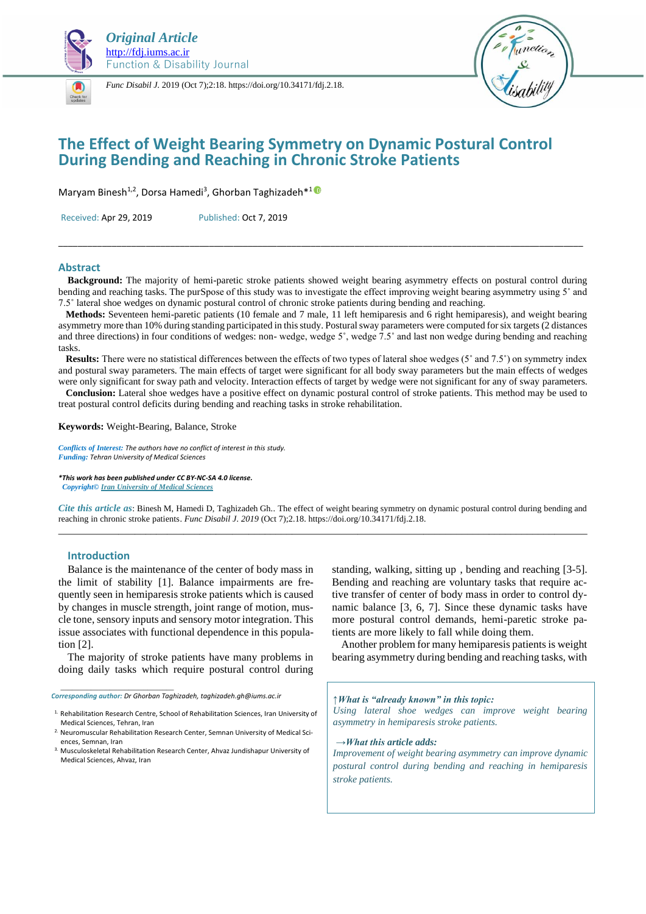

*Func Disabil J.* 2019 (Oct 7);2:18. https://doi.org/10.34171/fdj.2.18.



# **The Effect of Weight Bearing Symmetry on Dynamic Postural Control During Bending and Reaching in Chronic Stroke Patients**

Maryam Binesh<sup>[1](https://orcid.org/0000-0002-0145-9599),2</sup>, Dorsa Hamedi<sup>3</sup>, Ghorban Taghizadeh\*<sup>10</sup>

Received: Apr 29, 2019 Published: Oct 7, 2019

#### **Abstract**

 **Background:** The majority of hemi-paretic stroke patients showed weight bearing asymmetry effects on postural control during bending and reaching tasks. The purSpose of this study was to investigate the effect improving weight bearing asymmetry using 5˚ and 7.5˚ lateral shoe wedges on dynamic postural control of chronic stroke patients during bending and reaching.

\_\_\_\_\_\_\_\_\_\_\_\_\_\_\_\_\_\_\_\_\_\_\_\_\_\_\_\_\_\_\_\_\_\_\_\_\_\_\_\_\_\_\_\_\_\_\_\_\_\_\_\_\_\_\_\_\_\_\_\_\_\_\_\_\_\_\_\_\_\_\_\_\_\_\_\_\_\_\_\_\_\_\_\_\_\_\_\_\_\_\_\_\_\_\_\_\_\_\_\_\_\_\_\_\_\_\_\_

 **Methods:** Seventeen hemi-paretic patients (10 female and 7 male, 11 left hemiparesis and 6 right hemiparesis), and weight bearing asymmetry more than 10% during standing participated in this study. Postural sway parameters were computed for six targets (2 distances and three directions) in four conditions of wedges: non- wedge, wedge 5˚, wedge 7.5˚ and last non wedge during bending and reaching tasks.

**Results:** There were no statistical differences between the effects of two types of lateral shoe wedges (5° and 7.5°) on symmetry index and postural sway parameters. The main effects of target were significant for all body sway parameters but the main effects of wedges were only significant for sway path and velocity. Interaction effects of target by wedge were not significant for any of sway parameters.

 **Conclusion:** Lateral shoe wedges have a positive effect on dynamic postural control of stroke patients. This method may be used to treat postural control deficits during bending and reaching tasks in stroke rehabilitation.

**Keywords:** Weight-Bearing, Balance, Stroke

*Conflicts of Interest: The authors have no conflict of interest in this study. Funding: Tehran University of Medical Sciences*

*\*This work has been published under CC BY-NC-SA 4.0 license. Copyright[© Iran University of Medical Sciences](http://iums.ac.ir/en?sid=1)*

*Cite this article as*: Binesh M, Hamedi D, Taghizadeh Gh.. The effect of weight bearing symmetry on dynamic postural control during bending and reaching in chronic stroke patients. *Func Disabil J. 2019* (Oct 7);2.18. https://doi.org/10.34171/fdj.2.18. \_\_\_\_\_\_\_\_\_\_\_\_\_\_\_\_\_\_\_\_\_\_\_\_\_\_\_\_\_\_\_\_\_\_\_\_\_\_\_\_\_\_\_\_\_\_\_\_\_\_\_\_\_\_\_\_\_\_\_\_\_\_\_\_\_\_\_\_\_\_\_\_\_\_\_\_\_\_\_\_\_\_\_\_\_\_\_\_\_\_\_\_\_\_\_\_\_

#### **Introduction**

*\_\_\_\_\_\_\_\_\_\_\_\_\_\_\_\_\_\_\_\_\_\_\_\_\_\_\_\_\_\_*

Balance is the maintenance of the center of body mass in the limit of stability [\[1\]](file:///J:/G%20works/Function%20j/FDJ/Binesh%20artcle%20for%20FDJ.docx%23_ENREF_1). Balance impairments are frequently seen in hemiparesis stroke patients which is caused by changes in muscle strength, joint range of motion, muscle tone, sensory inputs and sensory motor integration. This issue associates with functional dependence in this population [\[2\]](file:///J:/G%20works/Function%20j/FDJ/Binesh%20artcle%20for%20FDJ.docx%23_ENREF_2).

The majority of stroke patients have many problems in doing daily tasks which require postural control during

*Corresponding author: Dr Ghorban Taghizadeh, taghizadeh.gh@iums.ac.ir*

1. Rehabilitation Research Centre, School of Rehabilitation Sciences, Iran University of Medical Sciences, Tehran, Iran

standing, walking, sitting up , bending and reaching [\[3-5\]](file:///J:/G%20works/Function%20j/FDJ/Binesh%20artcle%20for%20FDJ.docx%23_ENREF_3). Bending and reaching are voluntary tasks that require active transfer of center of body mass in order to control dynamic balance [\[3,](file:///J:/G%20works/Function%20j/FDJ/Binesh%20artcle%20for%20FDJ.docx%23_ENREF_3) [6,](file:///J:/G%20works/Function%20j/FDJ/Binesh%20artcle%20for%20FDJ.docx%23_ENREF_6) [7\]](file:///J:/G%20works/Function%20j/FDJ/Binesh%20artcle%20for%20FDJ.docx%23_ENREF_7). Since these dynamic tasks have more postural control demands, hemi-paretic stroke patients are more likely to fall while doing them.

Another problem for many hemiparesis patients is weight bearing asymmetry during bending and reaching tasks, with

*↑What is "already known" in this topic:*

*Using lateral shoe wedges can improve weight bearing asymmetry in hemiparesis stroke patients.* 

*→What this article adds:*

*Improvement of weight bearing asymmetry can improve dynamic postural control during bending and reaching in hemiparesis stroke patients.* 

<sup>2.</sup> Neuromuscular Rehabilitation Research Center, Semnan University of Medical Sciences, Semnan, Iran

<sup>3.</sup> Musculoskeletal Rehabilitation Research Center, Ahvaz Jundishapur University of Medical Sciences, Ahvaz, Iran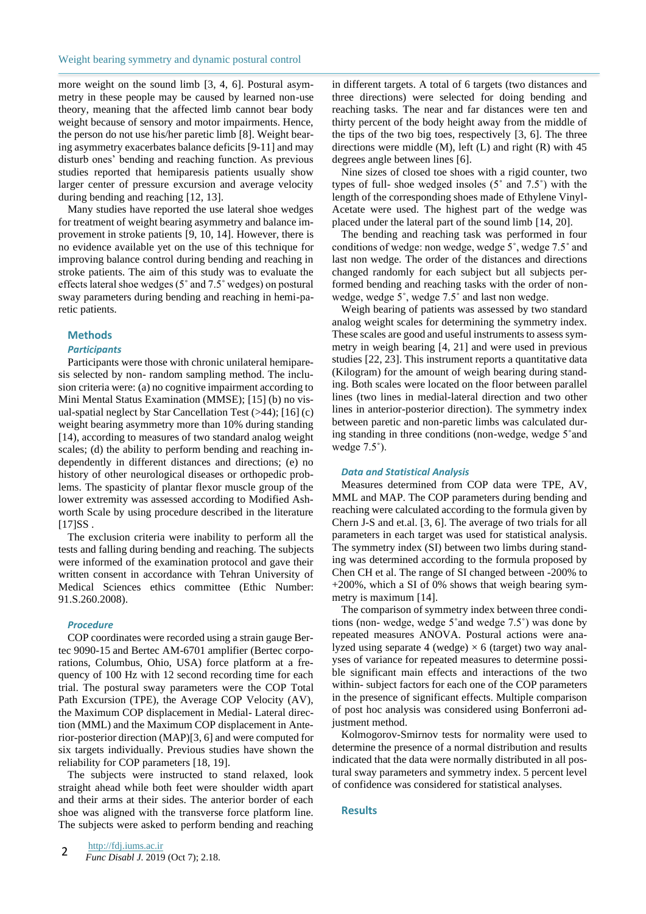more weight on the sound limb [\[3,](file:///J:/G%20works/Function%20j/FDJ/Binesh%20artcle%20for%20FDJ.docx%23_ENREF_3) [4,](file:///J:/G%20works/Function%20j/FDJ/Binesh%20artcle%20for%20FDJ.docx%23_ENREF_4) [6\]](file:///J:/G%20works/Function%20j/FDJ/Binesh%20artcle%20for%20FDJ.docx%23_ENREF_6). Postural asymmetry in these people may be caused by learned non-use theory, meaning that the affected limb cannot bear body weight because of sensory and motor impairments. Hence, the person do not use his/her paretic limb [\[8\]](file:///J:/G%20works/Function%20j/FDJ/Binesh%20artcle%20for%20FDJ.docx%23_ENREF_8). Weight bearing asymmetry exacerbates balance deficits [\[9-11\]](file:///J:/G%20works/Function%20j/FDJ/Binesh%20artcle%20for%20FDJ.docx%23_ENREF_9) and may disturb ones' bending and reaching function. As previous studies reported that hemiparesis patients usually show larger center of pressure excursion and average velocity during bending and reaching [\[12,](file:///J:/G%20works/Function%20j/FDJ/Binesh%20artcle%20for%20FDJ.docx%23_ENREF_12) [13\]](file:///J:/G%20works/Function%20j/FDJ/Binesh%20artcle%20for%20FDJ.docx%23_ENREF_13).

Many studies have reported the use lateral shoe wedges for treatment of weight bearing asymmetry and balance improvement in stroke patients [\[9,](file:///J:/G%20works/Function%20j/FDJ/Binesh%20artcle%20for%20FDJ.docx%23_ENREF_9) [10,](file:///J:/G%20works/Function%20j/FDJ/Binesh%20artcle%20for%20FDJ.docx%23_ENREF_10) [14\]](file:///J:/G%20works/Function%20j/FDJ/Binesh%20artcle%20for%20FDJ.docx%23_ENREF_14). However, there is no evidence available yet on the use of this technique for improving balance control during bending and reaching in stroke patients. The aim of this study was to evaluate the effects lateral shoe wedges (5˚ and 7.5˚ wedges) on postural sway parameters during bending and reaching in hemi-paretic patients.

### **Methods**

### *Participants*

Participants were those with chronic unilateral hemiparesis selected by non- random sampling method. The inclusion criteria were: (a) no cognitive impairment according to Mini Mental Status Examination (MMSE); [\[15\]](file:///J:/G%20works/Function%20j/FDJ/Binesh%20artcle%20for%20FDJ.docx%23_ENREF_15) (b) no visual-spatial neglect by Star Cancellation Test (>44); [\[16\]](file:///J:/G%20works/Function%20j/FDJ/Binesh%20artcle%20for%20FDJ.docx%23_ENREF_16) (c) weight bearing asymmetry more than 10% during standing [\[14\)](file:///J:/G%20works/Function%20j/FDJ/Binesh%20artcle%20for%20FDJ.docx%23_ENREF_14), according to measures of two standard analog weight scales; (d) the ability to perform bending and reaching independently in different distances and directions; (e) no history of other neurological diseases or orthopedic problems. The spasticity of plantar flexor muscle group of the lower extremity was assessed according to Modified Ashworth Scale by using procedure described in the literature  $[17]$ SS.

The exclusion criteria were inability to perform all the tests and falling during bending and reaching. The subjects were informed of the examination protocol and gave their written consent in accordance with Tehran University of Medical Sciences ethics committee (Ethic Number: 91.S.260.2008).

### *Procedure*

COP coordinates were recorded using a strain gauge Bertec 9090-15 and Bertec AM-6701 amplifier (Bertec corporations, Columbus, Ohio, USA) force platform at a frequency of 100 Hz with 12 second recording time for each trial. The postural sway parameters were the COP Total Path Excursion (TPE), the Average COP Velocity (AV), the Maximum COP displacement in Medial- Lateral direction (MML) and the Maximum COP displacement in Anterior-posterior direction (MAP)[\[3,](file:///J:/G%20works/Function%20j/FDJ/Binesh%20artcle%20for%20FDJ.docx%23_ENREF_3) [6\]](file:///J:/G%20works/Function%20j/FDJ/Binesh%20artcle%20for%20FDJ.docx%23_ENREF_6) and were computed for six targets individually. Previous studies have shown the reliability for COP parameters [\[18,](file:///J:/G%20works/Function%20j/FDJ/Binesh%20artcle%20for%20FDJ.docx%23_ENREF_18) [19\]](file:///J:/G%20works/Function%20j/FDJ/Binesh%20artcle%20for%20FDJ.docx%23_ENREF_19).

The subjects were instructed to stand relaxed, look straight ahead while both feet were shoulder width apart and their arms at their sides. The anterior border of each shoe was aligned with the transverse force platform line. The subjects were asked to perform bending and reaching in different targets. A total of 6 targets (two distances and three directions) were selected for doing bending and reaching tasks. The near and far distances were ten and thirty percent of the body height away from the middle of the tips of the two big toes, respectively [\[3,](file:///J:/G%20works/Function%20j/FDJ/Binesh%20artcle%20for%20FDJ.docx%23_ENREF_3) [6\]](file:///J:/G%20works/Function%20j/FDJ/Binesh%20artcle%20for%20FDJ.docx%23_ENREF_6). The three directions were middle (M), left (L) and right (R) with 45 degrees angle between lines [\[6\]](file:///J:/G%20works/Function%20j/FDJ/Binesh%20artcle%20for%20FDJ.docx%23_ENREF_6).

Nine sizes of closed toe shoes with a rigid counter, two types of full- shoe wedged insoles (5˚ and 7.5˚) with the length of the corresponding shoes made of Ethylene Vinyl-Acetate were used. The highest part of the wedge was placed under the lateral part of the sound limb [\[14,](file:///J:/G%20works/Function%20j/FDJ/Binesh%20artcle%20for%20FDJ.docx%23_ENREF_14) [20\]](file:///J:/G%20works/Function%20j/FDJ/Binesh%20artcle%20for%20FDJ.docx%23_ENREF_20).

The bending and reaching task was performed in four conditions of wedge: non wedge, wedge 5˚, wedge 7.5˚ and last non wedge. The order of the distances and directions changed randomly for each subject but all subjects performed bending and reaching tasks with the order of nonwedge, wedge 5°, wedge 7.5° and last non wedge.

Weigh bearing of patients was assessed by two standard analog weight scales for determining the symmetry index. These scales are good and useful instruments to assess symmetry in weigh bearing [\[4,](file:///J:/G%20works/Function%20j/FDJ/Binesh%20artcle%20for%20FDJ.docx%23_ENREF_4) [21\]](file:///J:/G%20works/Function%20j/FDJ/Binesh%20artcle%20for%20FDJ.docx%23_ENREF_21) and were used in previous studies [\[22,](file:///J:/G%20works/Function%20j/FDJ/Binesh%20artcle%20for%20FDJ.docx%23_ENREF_22) [23\]](file:///J:/G%20works/Function%20j/FDJ/Binesh%20artcle%20for%20FDJ.docx%23_ENREF_23). This instrument reports a quantitative data (Kilogram) for the amount of weigh bearing during standing. Both scales were located on the floor between parallel lines (two lines in medial-lateral direction and two other lines in anterior-posterior direction). The symmetry index between paretic and non-paretic limbs was calculated during standing in three conditions (non-wedge, wedge 5˚and wedge 7.5˚).

#### *Data and Statistical Analysis*

Measures determined from COP data were TPE, AV, MML and MAP. The COP parameters during bending and reaching were calculated according to the formula given by Chern J-S and et.al. [\[3,](file:///J:/G%20works/Function%20j/FDJ/Binesh%20artcle%20for%20FDJ.docx%23_ENREF_3) [6\]](file:///J:/G%20works/Function%20j/FDJ/Binesh%20artcle%20for%20FDJ.docx%23_ENREF_6). The average of two trials for all parameters in each target was used for statistical analysis. The symmetry index (SI) between two limbs during standing was determined according to the formula proposed by Chen CH et al. The range of SI changed between -200% to +200%, which a SI of 0% shows that weigh bearing symmetry is maximum [\[14\]](file:///J:/G%20works/Function%20j/FDJ/Binesh%20artcle%20for%20FDJ.docx%23_ENREF_14).

The comparison of symmetry index between three conditions (non- wedge, wedge 5˚and wedge 7.5˚) was done by repeated measures ANOVA. Postural actions were analyzed using separate 4 (wedge)  $\times$  6 (target) two way analyses of variance for repeated measures to determine possible significant main effects and interactions of the two within- subject factors for each one of the COP parameters in the presence of significant effects. Multiple comparison of post hoc analysis was considered using Bonferroni adjustment method.

Kolmogorov-Smirnov tests for normality were used to determine the presence of a normal distribution and results indicated that the data were normally distributed in all postural sway parameters and symmetry index. 5 percent level of confidence was considered for statistical analyses.

### **Results**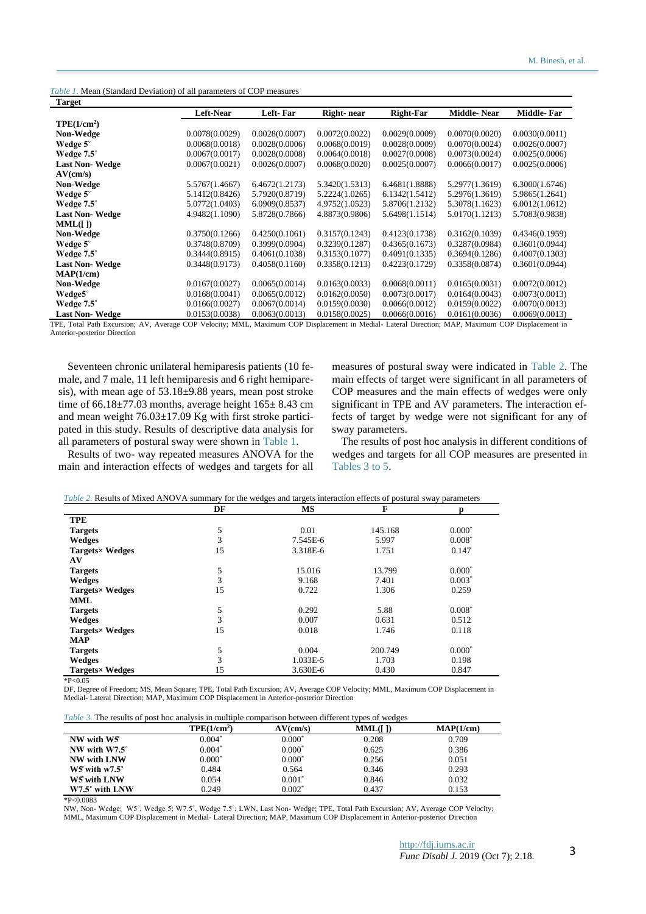| <i>Table 1.</i> Mean (Standard Deviation) of all parameters of COP measures |  |
|-----------------------------------------------------------------------------|--|
|-----------------------------------------------------------------------------|--|

| <b>Target</b>           |                  |                |                |                  |                |                |
|-------------------------|------------------|----------------|----------------|------------------|----------------|----------------|
|                         | <b>Left-Near</b> | Left-Far       | Right-near     | <b>Right-Far</b> | Middle-Near    | Middle-Far     |
| TPE(1/cm <sup>2</sup> ) |                  |                |                |                  |                |                |
| Non-Wedge               | 0.0078(0.0029)   | 0.0028(0.0007) | 0.0072(0.0022) | 0.0029(0.0009)   | 0.0070(0.0020) | 0.0030(0.0011) |
| Wedge 5°                | 0.0068(0.0018)   | 0.0028(0.0006) | 0.0068(0.0019) | 0.0028(0.0009)   | 0.0070(0.0024) | 0.0026(0.0007) |
| Wedge 7.5°              | 0.0067(0.0017)   | 0.0028(0.0008) | 0.0064(0.0018) | 0.0027(0.0008)   | 0.0073(0.0024) | 0.0025(0.0006) |
| <b>Last Non-Wedge</b>   | 0.0067(0.0021)   | 0.0026(0.0007) | 0.0068(0.0020) | 0.0025(0.0007)   | 0.0066(0.0017) | 0.0025(0.0006) |
| AV(cm/s)                |                  |                |                |                  |                |                |
| <b>Non-Wedge</b>        | 5.5767(1.4667)   | 6.4672(1.2173) | 5.3420(1.5313) | 6.4681(1.8888)   | 5.2977(1.3619) | 6.3000(1.6746) |
| Wedge 5°                | 5.1412(0.8426)   | 5.7920(0.8719) | 5.2224(1.0265) | 6.1342(1.5412)   | 5.2976(1.3619) | 5.9865(1.2641) |
| Wedge 7.5°              | 5.0772(1.0403)   | 6.0909(0.8537) | 4.9752(1.0523) | 5.8706(1.2132)   | 5.3078(1.1623) | 6.0012(1.0612) |
| <b>Last Non-Wedge</b>   | 4.9482(1.1090)   | 5.8728(0.7866) | 4.8873(0.9806) | 5.6498(1.1514)   | 5.0170(1.1213) | 5.7083(0.9838) |
| MML(I)                  |                  |                |                |                  |                |                |
| <b>Non-Wedge</b>        | 0.3750(0.1266)   | 0.4250(0.1061) | 0.3157(0.1243) | 0.4123(0.1738)   | 0.3162(0.1039) | 0.4346(0.1959) |
| Wedge 5°                | 0.3748(0.8709)   | 0.3999(0.0904) | 0.3239(0.1287) | 0.4365(0.1673)   | 0.3287(0.0984) | 0.3601(0.0944) |
| Wedge 7.5°              | 0.3444(0.8915)   | 0.4061(0.1038) | 0.3153(0.1077) | 0.4091(0.1335)   | 0.3694(0.1286) | 0.4007(0.1303) |
| <b>Last Non-Wedge</b>   | 0.3448(0.9173)   | 0.4058(0.1160) | 0.3358(0.1213) | 0.4223(0.1729)   | 0.3358(0.0874) | 0.3601(0.0944) |
| MAP(1/cm)               |                  |                |                |                  |                |                |
| Non-Wedge               | 0.0167(0.0027)   | 0.0065(0.0014) | 0.0163(0.0033) | 0.0068(0.0011)   | 0.0165(0.0031) | 0.0072(0.0012) |
| Wedge5°                 | 0.0168(0.0041)   | 0.0065(0.0012) | 0.0162(0.0050) | 0.0073(0.0017)   | 0.0164(0.0043) | 0.0073(0.0013) |
| Wedge 7.5°              | 0.0166(0.0027)   | 0.0067(0.0014) | 0.0159(0.0030) | 0.0066(0.0012)   | 0.0159(0.0022) | 0.0070(0.0013) |
| <b>Last Non-Wedge</b>   | 0.0153(0.0038)   | 0.0063(0.0013) | 0.0158(0.0025) | 0.0066(0.0016)   | 0.0161(0.0036) | 0.0069(0.0013) |

TPE, Total Path Excursion; AV, Average COP Velocity; MML, Maximum COP Displacement in Medial- Lateral Direction; MAP, Maximum COP Displacement in Anterior-posterior Direction

Seventeen chronic unilateral hemiparesis patients (10 female, and 7 male, 11 left hemiparesis and 6 right hemiparesis), with mean age of 53.18±9.88 years, mean post stroke time of  $66.18\pm77.03$  months, average height  $165\pm8.43$  cm and mean weight 76.03±17.09 Kg with first stroke participated in this study. Results of descriptive data analysis for all parameters of postural sway were shown in Table 1.

Results of two- way repeated measures ANOVA for the main and interaction effects of wedges and targets for all measures of postural sway were indicated in Table 2. The main effects of target were significant in all parameters of COP measures and the main effects of wedges were only significant in TPE and AV parameters. The interaction effects of target by wedge were not significant for any of sway parameters.

The results of post hoc analysis in different conditions of wedges and targets for all COP measures are presented in Tables 3 to 5.

|                       | DF | MS       | F       |          |
|-----------------------|----|----------|---------|----------|
| <b>TPE</b>            |    |          |         |          |
| <b>Targets</b>        | 5  | 0.01     | 145.168 | $0.000*$ |
| Wedges                | 3  | 7.545E-6 | 5.997   | $0.008*$ |
| <b>Targets×Wedges</b> | 15 | 3.318E-6 | 1.751   | 0.147    |
| AV                    |    |          |         |          |
| <b>Targets</b>        | 5  | 15.016   | 13.799  | $0.000*$ |
| Wedges                | 3  | 9.168    | 7.401   | $0.003*$ |
| <b>Targets×Wedges</b> | 15 | 0.722    | 1.306   | 0.259    |
| <b>MML</b>            |    |          |         |          |
| <b>Targets</b>        | 5  | 0.292    | 5.88    | $0.008*$ |
| Wedges                | 3  | 0.007    | 0.631   | 0.512    |
| <b>Targets×Wedges</b> | 15 | 0.018    | 1.746   | 0.118    |
| <b>MAP</b>            |    |          |         |          |
| <b>Targets</b>        | 5  | 0.004    | 200.749 | $0.000*$ |
| Wedges                | 3  | 1.033E-5 | 1.703   | 0.198    |
| Targets× Wedges       | 15 | 3.630E-6 | 0.430   | 0.847    |

*Table 2.* Results of Mixed ANOVA summary for the wedges and targets interaction effects of postural sway parameters

 $*P<0.05$ 

DF, Degree of Freedom; MS, Mean Square; TPE, Total Path Excursion; AV, Average COP Velocity; MML, Maximum COP Displacement in Medial- Lateral Direction; MAP, Maximum COP Displacement in Anterior-posterior Direction

*Table 3.* The results of post hoc analysis in multiple comparison between different types of wedges

|                          | TPE(1/cm <sup>2</sup> ) | AV(cm/s) | MML(I) | MAP(1/cm) |
|--------------------------|-------------------------|----------|--------|-----------|
| NW with W5               | $0.004*$                | $0.000*$ | 0.208  | 0.709     |
| NW with $W7.5^\circ$     | $0.004*$                | $0.000*$ | 0.625  | 0.386     |
| NW with LNW              | $0.000*$                | $0.000*$ | 0.256  | 0.051     |
| $W5$ with $W7.5^{\circ}$ | 0.484                   | 0.564    | 0.346  | 0.293     |
| W5 with LNW              | 0.054                   | $0.001*$ | 0.846  | 0.032     |
| $W7.5^{\circ}$ with LNW  | 0.249                   | $0.002*$ | 0.437  | 0.153     |

\*P<0.0083

NW, Non- Wedge; W5˚, Wedge 5̊; W7.5˚, Wedge 7.5˚; LWN, Last Non- Wedge; TPE, Total Path Excursion; AV, Average COP Velocity; MML, Maximum COP Displacement in Medial- Lateral Direction; MAP, Maximum COP Displacement in Anterior-posterior Direction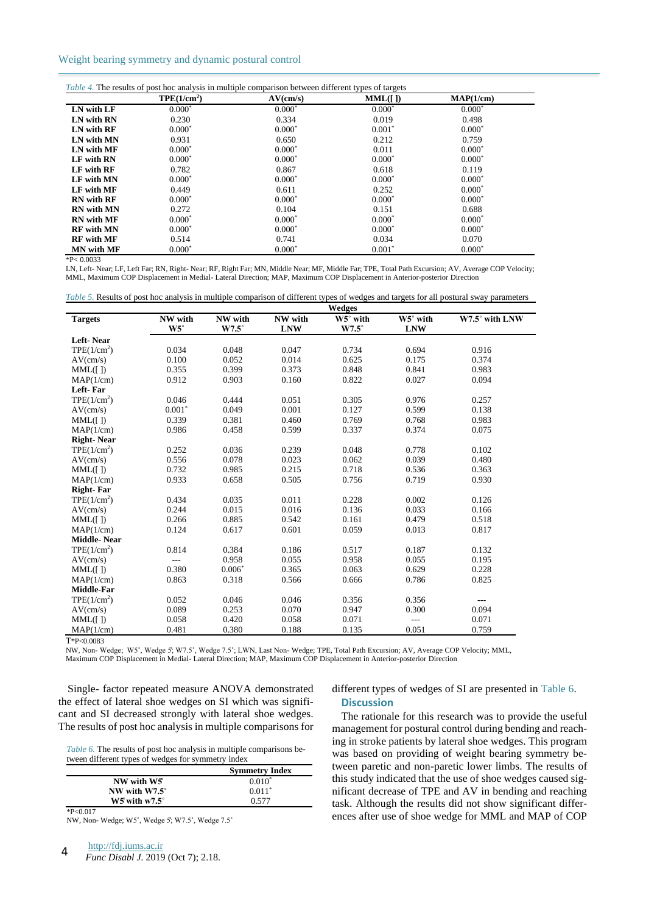## Weight bearing symmetry and dynamic postural control

|                   | TPE(1/cm <sup>2</sup> ) | AV(cm/s) | MML(I)   | MAP(1/cm) |
|-------------------|-------------------------|----------|----------|-----------|
| LN with LF        | $0.000*$                | $0.000*$ | $0.000*$ | $0.000*$  |
| LN with RN        | 0.230                   | 0.334    | 0.019    | 0.498     |
| LN with RF        | $0.000*$                | $0.000*$ | $0.001*$ | $0.000*$  |
| LN with MN        | 0.931                   | 0.650    | 0.212    | 0.759     |
| LN with MF        | $0.000*$                | $0.000*$ | 0.011    | $0.000*$  |
| LF with RN        | $0.000*$                | $0.000*$ | $0.000*$ | $0.000*$  |
| LF with RF        | 0.782                   | 0.867    | 0.618    | 0.119     |
| LF with MN        | $0.000*$                | $0.000*$ | $0.000*$ | $0.000*$  |
| LF with MF        | 0.449                   | 0.611    | 0.252    | $0.000*$  |
| <b>RN</b> with RF | $0.000*$                | $0.000*$ | $0.000*$ | $0.000*$  |
| <b>RN</b> with MN | 0.272                   | 0.104    | 0.151    | 0.688     |
| <b>RN</b> with MF | $0.000*$                | $0.000*$ | $0.000*$ | $0.000*$  |
| <b>RF</b> with MN | $0.000*$                | $0.000*$ | $0.000*$ | $0.000*$  |
| <b>RF</b> with MF | 0.514                   | 0.741    | 0.034    | 0.070     |
| MN with MF        | $0.000*$                | $0.000*$ | $0.001*$ | $0.000*$  |

LN, Left- Near; LF, Left Far; RN, Right- Near; RF, Right Far; MN, Middle Near; MF, Middle Far; TPE, Total Path Excursion; AV, Average COP Velocity; MML, Maximum COP Displacement in Medial- Lateral Direction; MAP, Maximum COP Displacement in Anterior-posterior Direction

| Table 5. Results of post hoc analysis in multiple comparison of different types of wedges and targets for all postural sway parameters |  |  |  |  |  |  |
|----------------------------------------------------------------------------------------------------------------------------------------|--|--|--|--|--|--|
|----------------------------------------------------------------------------------------------------------------------------------------|--|--|--|--|--|--|

|                         | <b>Wedges</b> |              |            |              |                |                |
|-------------------------|---------------|--------------|------------|--------------|----------------|----------------|
| <b>Targets</b>          | NW with       | NW with      | NW with    | W5° with     | W5° with       | W7.5° with LNW |
|                         | $W5^\circ$    | $W7.5^\circ$ | <b>LNW</b> | $W7.5^\circ$ | <b>LNW</b>     |                |
| Left-Near               |               |              |            |              |                |                |
| TPE(1/cm <sup>2</sup> ) | 0.034         | 0.048        | 0.047      | 0.734        | 0.694          | 0.916          |
| AV(cm/s)                | 0.100         | 0.052        | 0.014      | 0.625        | 0.175          | 0.374          |
| MML( [ )                | 0.355         | 0.399        | 0.373      | 0.848        | 0.841          | 0.983          |
| MAP(1/cm)               | 0.912         | 0.903        | 0.160      | 0.822        | 0.027          | 0.094          |
| Left-Far                |               |              |            |              |                |                |
| TPE(1/cm <sup>2</sup> ) | 0.046         | 0.444        | 0.051      | 0.305        | 0.976          | 0.257          |
| AV(cm/s)                | $0.001*$      | 0.049        | 0.001      | 0.127        | 0.599          | 0.138          |
| MML([])                 | 0.339         | 0.381        | 0.460      | 0.769        | 0.768          | 0.983          |
| MAP(1/cm)               | 0.986         | 0.458        | 0.599      | 0.337        | 0.374          | 0.075          |
| <b>Right-Near</b>       |               |              |            |              |                |                |
| TPE(1/cm <sup>2</sup> ) | 0.252         | 0.036        | 0.239      | 0.048        | 0.778          | 0.102          |
| AV(cm/s)                | 0.556         | 0.078        | 0.023      | 0.062        | 0.039          | 0.480          |
| MML(I)                  | 0.732         | 0.985        | 0.215      | 0.718        | 0.536          | 0.363          |
| MAP(1/cm)               | 0.933         | 0.658        | 0.505      | 0.756        | 0.719          | 0.930          |
| <b>Right-Far</b>        |               |              |            |              |                |                |
| TPE(1/cm <sup>2</sup> ) | 0.434         | 0.035        | 0.011      | 0.228        | 0.002          | 0.126          |
| AV(cm/s)                | 0.244         | 0.015        | 0.016      | 0.136        | 0.033          | 0.166          |
| MML(I)                  | 0.266         | 0.885        | 0.542      | 0.161        | 0.479          | 0.518          |
| MAP(1/cm)               | 0.124         | 0.617        | 0.601      | 0.059        | 0.013          | 0.817          |
| <b>Middle-Near</b>      |               |              |            |              |                |                |
| TPE(1/cm <sup>2</sup> ) | 0.814         | 0.384        | 0.186      | 0.517        | 0.187          | 0.132          |
| AV(cm/s)                | $---$         | 0.958        | 0.055      | 0.958        | 0.055          | 0.195          |
| MML([])                 | 0.380         | $0.006*$     | 0.365      | 0.063        | 0.629          | 0.228          |
| MAP(1/cm)               | 0.863         | 0.318        | 0.566      | 0.666        | 0.786          | 0.825          |
| Middle-Far              |               |              |            |              |                |                |
| TPE(1/cm <sup>2</sup> ) | 0.052         | 0.046        | 0.046      | 0.356        | 0.356          | $---$          |
| AV(cm/s)                | 0.089         | 0.253        | 0.070      | 0.947        | 0.300          | 0.094          |
| MML( [ )                | 0.058         | 0.420        | 0.058      | 0.071        | $\overline{a}$ | 0.071          |
| MAP(1/cm)               | 0.481         | 0.380        | 0.188      | 0.135        | 0.051          | 0.759          |

T\*P<0.0083

NW, Non- Wedge; W5˚, Wedge 5̊; W7.5˚, Wedge 7.5˚; LWN, Last Non- Wedge; TPE, Total Path Excursion; AV, Average COP Velocity; MML, Maximum COP Displacement in Medial- Lateral Direction; MAP, Maximum COP Displacement in Anterior-posterior Direction

Single- factor repeated measure ANOVA demonstrated the effect of lateral shoe wedges on SI which was significant and SI decreased strongly with lateral shoe wedges. The results of post hoc analysis in multiple comparisons for

*Table 6.* The results of post hoc analysis in multiple comparisons between different types of wedges for symmetry index

|                        | <b>Symmetry Index</b> |
|------------------------|-----------------------|
| NW with W5             | $0.010*$              |
| NW with $W7.5^\circ$   | $0.011*$              |
| $W5$ with $W7.5^\circ$ | 0.577                 |

 $*P<0.017$ 

NW, Non- Wedge; W5˚, Wedge 5̊; W7.5˚, Wedge 7.5˚

## different types of wedges of SI are presented in Table 6. **Discussion**

The rationale for this research was to provide the useful management for postural control during bending and reaching in stroke patients by lateral shoe wedges. This program was based on providing of weight bearing symmetry between paretic and non-paretic lower limbs. The results of this study indicated that the use of shoe wedges caused significant decrease of TPE and AV in bending and reaching task. Although the results did not show significant differences after use of shoe wedge for MML and MAP of COP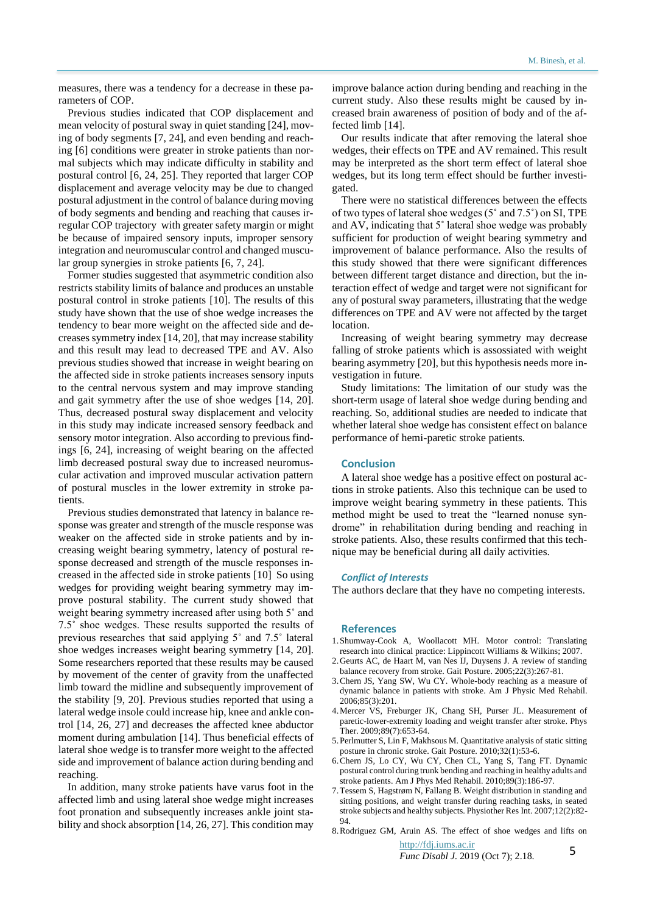measures, there was a tendency for a decrease in these parameters of COP.

Previous studies indicated that COP displacement and mean velocity of postural sway in quiet standing [\[24\]](#page-5-0), moving of body segments [\[7,](#page-4-0) [24\]](#page-5-0), and even bending and reaching [\[6\]](#page-4-1) conditions were greater in stroke patients than normal subjects which may indicate difficulty in stability and postural control [\[6,](#page-4-1) [24,](#page-5-0) [25\]](#page-5-1). They reported that larger COP displacement and average velocity may be due to changed postural adjustment in the control of balance during moving of body segments and bending and reaching that causes irregular COP trajectory with greater safety margin or might be because of impaired sensory inputs, improper sensory integration and neuromuscular control and changed muscular group synergies in stroke patients [\[6,](#page-4-1) [7,](#page-4-0) [24\]](#page-5-0).

Former studies suggested that asymmetric condition also restricts stability limits of balance and produces an unstable postural control in stroke patients [\[10\]](#page-5-2). The results of this study have shown that the use of shoe wedge increases the tendency to bear more weight on the affected side and decreases symmetry index [\[14,](#page-5-3) [20\]](#page-5-4), that may increase stability and this result may lead to decreased TPE and AV. Also previous studies showed that increase in weight bearing on the affected side in stroke patients increases sensory inputs to the central nervous system and may improve standing and gait symmetry after the use of shoe wedges [\[14,](#page-5-3) [20\]](#page-5-4). Thus, decreased postural sway displacement and velocity in this study may indicate increased sensory feedback and sensory motor integration. Also according to previous findings [\[6,](#page-4-1) [24\]](#page-5-0), increasing of weight bearing on the affected limb decreased postural sway due to increased neuromuscular activation and improved muscular activation pattern of postural muscles in the lower extremity in stroke patients.

Previous studies demonstrated that latency in balance response was greater and strength of the muscle response was weaker on the affected side in stroke patients and by increasing weight bearing symmetry, latency of postural response decreased and strength of the muscle responses increased in the affected side in stroke patients [\[10\]](#page-5-2) So using wedges for providing weight bearing symmetry may improve postural stability. The current study showed that weight bearing symmetry increased after using both 5° and 7.5˚ shoe wedges. These results supported the results of previous researches that said applying 5˚ and 7.5˚ lateral shoe wedges increases weight bearing symmetry [\[14,](#page-5-3) [20\]](#page-5-4). Some researchers reported that these results may be caused by movement of the center of gravity from the unaffected limb toward the midline and subsequently improvement of the stability [\[9,](#page-5-5) [20\]](#page-5-4). Previous studies reported that using a lateral wedge insole could increase hip, knee and ankle control [\[14,](#page-5-3) 26, [27\]](#page-5-6) and decreases the affected knee abductor moment during ambulation [\[14\]](#page-5-3). Thus beneficial effects of lateral shoe wedge is to transfer more weight to the affected side and improvement of balance action during bending and reaching.

In addition, many stroke patients have varus foot in the affected limb and using lateral shoe wedge might increases foot pronation and subsequently increases ankle joint stability and shock absorption [\[14,](#page-5-3) 26, [27\]](#page-5-6). This condition may

improve balance action during bending and reaching in the current study. Also these results might be caused by increased brain awareness of position of body and of the affected limb [\[14\]](#page-5-3).

Our results indicate that after removing the lateral shoe wedges, their effects on TPE and AV remained. This result may be interpreted as the short term effect of lateral shoe wedges, but its long term effect should be further investigated.

There were no statistical differences between the effects of two types of lateral shoe wedges (5˚ and 7.5˚) on SI, TPE and AV, indicating that 5˚ lateral shoe wedge was probably sufficient for production of weight bearing symmetry and improvement of balance performance. Also the results of this study showed that there were significant differences between different target distance and direction, but the interaction effect of wedge and target were not significant for any of postural sway parameters, illustrating that the wedge differences on TPE and AV were not affected by the target location.

Increasing of weight bearing symmetry may decrease falling of stroke patients which is assossiated with weight bearing asymmetry [\[20\]](#page-5-4), but this hypothesis needs more investigation in future.

Study limitations: The limitation of our study was the short-term usage of lateral shoe wedge during bending and reaching. So, additional studies are needed to indicate that whether lateral shoe wedge has consistent effect on balance performance of hemi-paretic stroke patients.

## **Conclusion**

A lateral shoe wedge has a positive effect on postural actions in stroke patients. Also this technique can be used to improve weight bearing symmetry in these patients. This method might be used to treat the "learned nonuse syndrome" in rehabilitation during bending and reaching in stroke patients. Also, these results confirmed that this technique may be beneficial during all daily activities.

## *Conflict of Interests*

The authors declare that they have no competing interests.

#### **References**

- 1.Shumway-Cook A, Woollacott MH. Motor control: Translating research into clinical practice: Lippincott Williams & Wilkins; 2007.
- 2.Geurts AC, de Haart M, van Nes IJ, Duysens J. A review of standing balance recovery from stroke. Gait Posture. 2005;22(3):267-81.
- 3.Chern JS, Yang SW, Wu CY. Whole-body reaching as a measure of dynamic balance in patients with stroke. Am J Physic Med Rehabil. 2006;85(3):201.
- 4.Mercer VS, Freburger JK, Chang SH, Purser JL. Measurement of paretic-lower-extremity loading and weight transfer after stroke. Phys Ther. 2009;89(7):653-64.
- 5.Perlmutter S, Lin F, Makhsous M. Quantitative analysis of static sitting posture in chronic stroke. Gait Posture. 2010;32(1):53-6.
- <span id="page-4-1"></span>6.Chern JS, Lo CY, Wu CY, Chen CL, Yang S, Tang FT. Dynamic postural control during trunk bending and reaching in healthy adults and stroke patients. Am J Phys Med Rehabil. 2010;89(3):186-97.
- <span id="page-4-0"></span>7.Tessem S, Hagstrøm N, Fallang B. Weight distribution in standing and sitting positions, and weight transfer during reaching tasks, in seated stroke subjects and healthy subjects. Physiother Res Int. 2007;12(2):82- 94.
- 8.Rodriguez GM, Aruin AS. The effect of shoe wedges and lifts on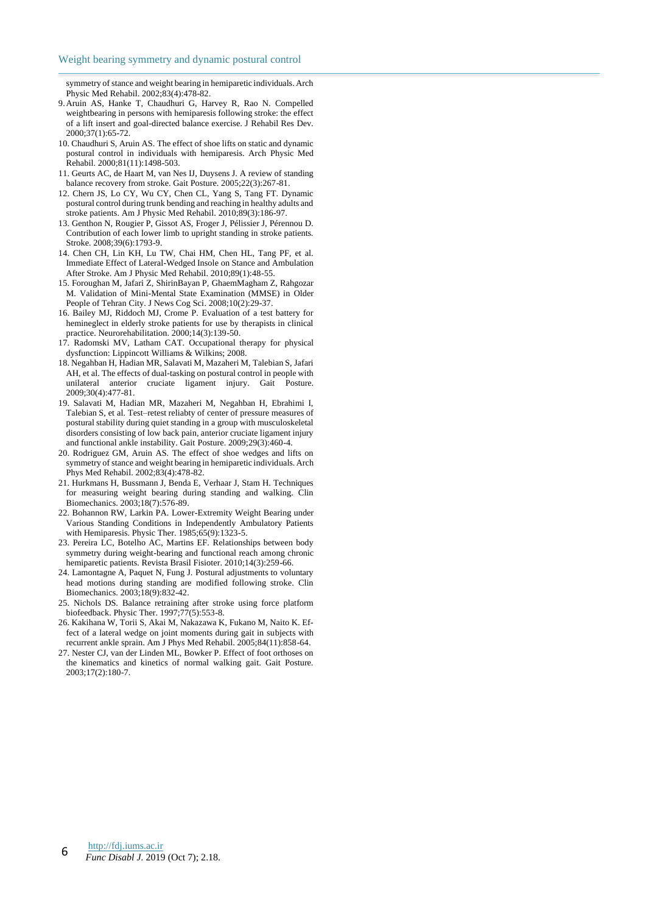symmetry of stance and weight bearing in hemiparetic individuals. Arch Physic Med Rehabil. 2002;83(4):478-82.

- <span id="page-5-5"></span>9.Aruin AS, Hanke T, Chaudhuri G, Harvey R, Rao N. Compelled weightbearing in persons with hemiparesis following stroke: the effect of a lift insert and goal-directed balance exercise. J Rehabil Res Dev. 2000;37(1):65-72.
- <span id="page-5-2"></span>10. Chaudhuri S, Aruin AS. The effect of shoe lifts on static and dynamic postural control in individuals with hemiparesis. Arch Physic Med Rehabil. 2000;81(11):1498-503.
- 11. Geurts AC, de Haart M, van Nes IJ, Duysens J. A review of standing balance recovery from stroke. Gait Posture. 2005;22(3):267-81.
- 12. Chern JS, Lo CY, Wu CY, Chen CL, Yang S, Tang FT. Dynamic postural control during trunk bending and reaching in healthy adults and stroke patients. Am J Physic Med Rehabil. 2010;89(3):186-97.
- 13. Genthon N, Rougier P, Gissot AS, Froger J, Pélissier J, Pérennou D. Contribution of each lower limb to upright standing in stroke patients. Stroke. 2008;39(6):1793-9.
- <span id="page-5-3"></span>14. Chen CH, Lin KH, Lu TW, Chai HM, Chen HL, Tang PF, et al. Immediate Effect of Lateral-Wedged Insole on Stance and Ambulation After Stroke. Am J Physic Med Rehabil. 2010;89(1):48-55.
- 15. Foroughan M, Jafari Z, ShirinBayan P, GhaemMagham Z, Rahgozar M. Validation of Mini-Mental State Examination (MMSE) in Older People of Tehran City. J News Cog Sci. 2008;10(2):29-37.
- 16. Bailey MJ, Riddoch MJ, Crome P. Evaluation of a test battery for hemineglect in elderly stroke patients for use by therapists in clinical practice. Neurorehabilitation. 2000;14(3):139-50.
- 17. Radomski MV, Latham CAT. Occupational therapy for physical dysfunction: Lippincott Williams & Wilkins; 2008.
- 18. Negahban H, Hadian MR, Salavati M, Mazaheri M, Talebian S, Jafari AH, et al. The effects of dual-tasking on postural control in people with unilateral anterior cruciate ligament injury. Gait Posture. 2009;30(4):477-81.
- 19. Salavati M, Hadian MR, Mazaheri M, Negahban H, Ebrahimi I, Talebian S, et al. Test–retest reliabty of center of pressure measures of postural stability during quiet standing in a group with musculoskeletal disorders consisting of low back pain, anterior cruciate ligament injury and functional ankle instability. Gait Posture. 2009;29(3):460-4.
- <span id="page-5-4"></span>20. Rodriguez GM, Aruin AS. The effect of shoe wedges and lifts on symmetry of stance and weight bearing in hemiparetic individuals. Arch Phys Med Rehabil. 2002;83(4):478-82.
- 21. Hurkmans H, Bussmann J, Benda E, Verhaar J, Stam H. Techniques for measuring weight bearing during standing and walking. Clin Biomechanics. 2003;18(7):576-89.
- 22. Bohannon RW, Larkin PA. Lower-Extremity Weight Bearing under Various Standing Conditions in Independently Ambulatory Patients with Hemiparesis. Physic Ther. 1985;65(9):1323-5.
- 23. Pereira LC, Botelho AC, Martins EF. Relationships between body symmetry during weight-bearing and functional reach among chronic hemiparetic patients. Revista Brasil Fisioter. 2010;14(3):259-66.
- <span id="page-5-0"></span>24. Lamontagne A, Paquet N, Fung J. Postural adjustments to voluntary head motions during standing are modified following stroke. Clin Biomechanics. 2003;18(9):832-42.
- <span id="page-5-1"></span>25. Nichols DS. Balance retraining after stroke using force platform biofeedback. Physic Ther. 1997;77(5):553-8.
- 26. Kakihana W, Torii S, Akai M, Nakazawa K, Fukano M, Naito K. Effect of a lateral wedge on joint moments during gait in subjects with recurrent ankle sprain. Am J Phys Med Rehabil. 2005;84(11):858-64.
- <span id="page-5-6"></span>27. Nester CJ, van der Linden ML, Bowker P. Effect of foot orthoses on the kinematics and kinetics of normal walking gait. Gait Posture. 2003;17(2):180-7.